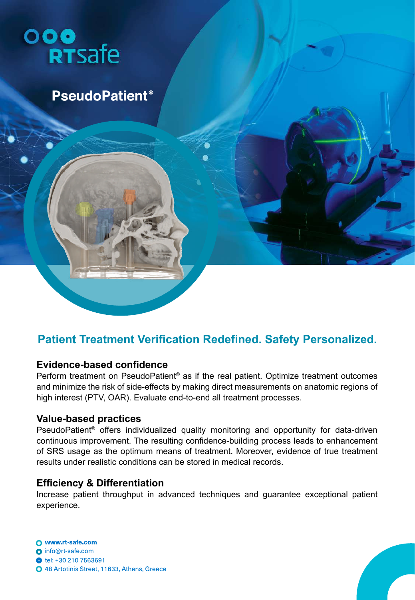

**PseudoPatient<sup>®</sup>** 

## **Patient Treatment Verification Redefined. Safety Personalized.**

## **Evidence-based confidence**

Perform treatment on PseudoPatient<sup>®</sup> as if the real patient. Optimize treatment outcomes and minimize the risk of side-effects by making direct measurements on anatomic regions of high interest (PTV, OAR). Evaluate end-to-end all treatment processes.

## **Value-based practices**

PseudoPatient® offers individualized quality monitoring and opportunity for data-driven continuous improvement. The resulting confidence-building process leads to enhancement of SRS usage as the optimum means of treatment. Moreover, evidence of true treatment results under realistic conditions can be stored in medical records.

## **Efficiency & Differentiation**

Increase patient throughput in advanced techniques and guarantee exceptional patient experience.